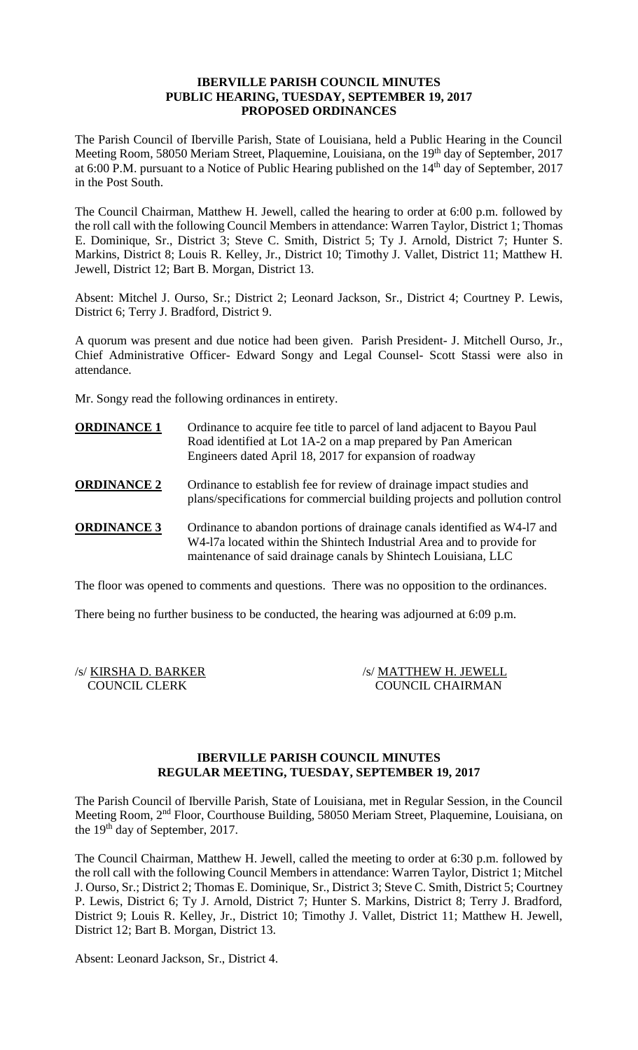## **IBERVILLE PARISH COUNCIL MINUTES PUBLIC HEARING, TUESDAY, SEPTEMBER 19, 2017 PROPOSED ORDINANCES**

The Parish Council of Iberville Parish, State of Louisiana, held a Public Hearing in the Council Meeting Room, 58050 Meriam Street, Plaquemine, Louisiana, on the 19<sup>th</sup> day of September, 2017 at 6:00 P.M. pursuant to a Notice of Public Hearing published on the 14<sup>th</sup> day of September, 2017 in the Post South.

The Council Chairman, Matthew H. Jewell, called the hearing to order at 6:00 p.m. followed by the roll call with the following Council Members in attendance: Warren Taylor, District 1; Thomas E. Dominique, Sr., District 3; Steve C. Smith, District 5; Ty J. Arnold, District 7; Hunter S. Markins, District 8; Louis R. Kelley, Jr., District 10; Timothy J. Vallet, District 11; Matthew H. Jewell, District 12; Bart B. Morgan, District 13.

Absent: Mitchel J. Ourso, Sr.; District 2; Leonard Jackson, Sr., District 4; Courtney P. Lewis, District 6; Terry J. Bradford, District 9.

A quorum was present and due notice had been given. Parish President- J. Mitchell Ourso, Jr., Chief Administrative Officer- Edward Songy and Legal Counsel- Scott Stassi were also in attendance.

Mr. Songy read the following ordinances in entirety.

- **ORDINANCE 1** Ordinance to acquire fee title to parcel of land adjacent to Bayou Paul Road identified at Lot 1A-2 on a map prepared by Pan American Engineers dated April 18, 2017 for expansion of roadway
- **ORDINANCE 2** Ordinance to establish fee for review of drainage impact studies and plans/specifications for commercial building projects and pollution control
- **ORDINANCE 3** Ordinance to abandon portions of drainage canals identified as W4-17 and W4-l7a located within the Shintech Industrial Area and to provide for maintenance of said drainage canals by Shintech Louisiana, LLC

The floor was opened to comments and questions. There was no opposition to the ordinances.

There being no further business to be conducted, the hearing was adjourned at 6:09 p.m.

/s/ KIRSHA D. BARKER /s/ MATTHEW H. JEWELL COUNCIL CLERK COUNCIL CHAIRMAN

## **IBERVILLE PARISH COUNCIL MINUTES REGULAR MEETING, TUESDAY, SEPTEMBER 19, 2017**

The Parish Council of Iberville Parish, State of Louisiana, met in Regular Session, in the Council Meeting Room, 2nd Floor, Courthouse Building, 58050 Meriam Street, Plaquemine, Louisiana, on the 19<sup>th</sup> day of September, 2017.

The Council Chairman, Matthew H. Jewell, called the meeting to order at 6:30 p.m. followed by the roll call with the following Council Members in attendance: Warren Taylor, District 1; Mitchel J. Ourso, Sr.; District 2; Thomas E. Dominique, Sr., District 3; Steve C. Smith, District 5; Courtney P. Lewis, District 6; Ty J. Arnold, District 7; Hunter S. Markins, District 8; Terry J. Bradford, District 9; Louis R. Kelley, Jr., District 10; Timothy J. Vallet, District 11; Matthew H. Jewell, District 12; Bart B. Morgan, District 13.

Absent: Leonard Jackson, Sr., District 4.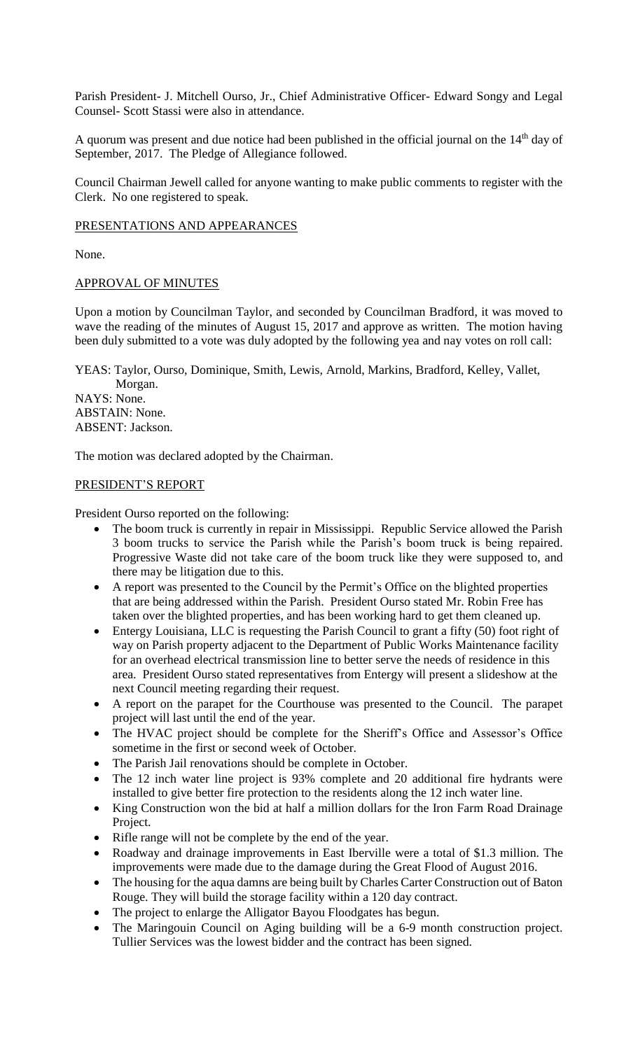Parish President- J. Mitchell Ourso, Jr., Chief Administrative Officer- Edward Songy and Legal Counsel- Scott Stassi were also in attendance.

A quorum was present and due notice had been published in the official journal on the 14<sup>th</sup> day of September, 2017. The Pledge of Allegiance followed.

Council Chairman Jewell called for anyone wanting to make public comments to register with the Clerk. No one registered to speak.

### PRESENTATIONS AND APPEARANCES

None.

### APPROVAL OF MINUTES

Upon a motion by Councilman Taylor, and seconded by Councilman Bradford, it was moved to wave the reading of the minutes of August 15, 2017 and approve as written. The motion having been duly submitted to a vote was duly adopted by the following yea and nay votes on roll call:

YEAS: Taylor, Ourso, Dominique, Smith, Lewis, Arnold, Markins, Bradford, Kelley, Vallet, Morgan.

NAYS: None. ABSTAIN: None. ABSENT: Jackson.

The motion was declared adopted by the Chairman.

### PRESIDENT'S REPORT

President Ourso reported on the following:

- The boom truck is currently in repair in Mississippi. Republic Service allowed the Parish 3 boom trucks to service the Parish while the Parish's boom truck is being repaired. Progressive Waste did not take care of the boom truck like they were supposed to, and there may be litigation due to this.
- A report was presented to the Council by the Permit's Office on the blighted properties that are being addressed within the Parish. President Ourso stated Mr. Robin Free has taken over the blighted properties, and has been working hard to get them cleaned up.
- Entergy Louisiana, LLC is requesting the Parish Council to grant a fifty (50) foot right of way on Parish property adjacent to the Department of Public Works Maintenance facility for an overhead electrical transmission line to better serve the needs of residence in this area. President Ourso stated representatives from Entergy will present a slideshow at the next Council meeting regarding their request.
- A report on the parapet for the Courthouse was presented to the Council. The parapet project will last until the end of the year.
- The HVAC project should be complete for the Sheriff's Office and Assessor's Office sometime in the first or second week of October.
- The Parish Jail renovations should be complete in October.
- The 12 inch water line project is 93% complete and 20 additional fire hydrants were installed to give better fire protection to the residents along the 12 inch water line.
- King Construction won the bid at half a million dollars for the Iron Farm Road Drainage Project.
- Rifle range will not be complete by the end of the year.
- Roadway and drainage improvements in East Iberville were a total of \$1.3 million. The improvements were made due to the damage during the Great Flood of August 2016.
- The housing for the aqua damns are being built by Charles Carter Construction out of Baton Rouge. They will build the storage facility within a 120 day contract.
- The project to enlarge the Alligator Bayou Floodgates has begun.
- The Maringouin Council on Aging building will be a 6-9 month construction project. Tullier Services was the lowest bidder and the contract has been signed.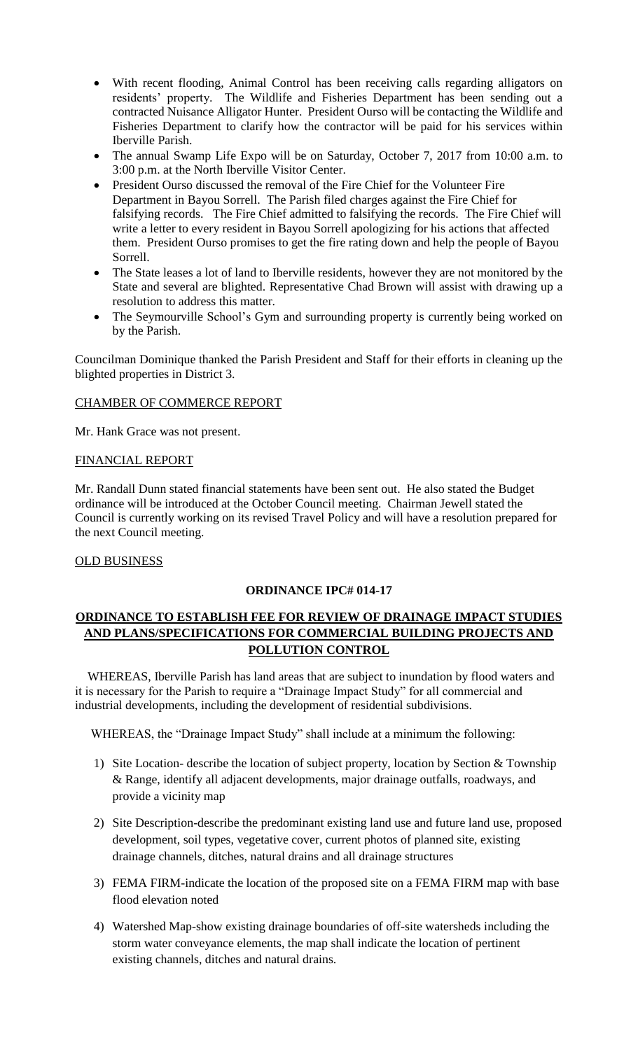- With recent flooding, Animal Control has been receiving calls regarding alligators on residents' property. The Wildlife and Fisheries Department has been sending out a contracted Nuisance Alligator Hunter. President Ourso will be contacting the Wildlife and Fisheries Department to clarify how the contractor will be paid for his services within Iberville Parish.
- The annual Swamp Life Expo will be on Saturday, October 7, 2017 from 10:00 a.m. to 3:00 p.m. at the North Iberville Visitor Center.
- President Ourso discussed the removal of the Fire Chief for the Volunteer Fire Department in Bayou Sorrell. The Parish filed charges against the Fire Chief for falsifying records. The Fire Chief admitted to falsifying the records. The Fire Chief will write a letter to every resident in Bayou Sorrell apologizing for his actions that affected them. President Ourso promises to get the fire rating down and help the people of Bayou Sorrell.
- The State leases a lot of land to Iberville residents, however they are not monitored by the State and several are blighted. Representative Chad Brown will assist with drawing up a resolution to address this matter.
- The Seymourville School's Gym and surrounding property is currently being worked on by the Parish.

Councilman Dominique thanked the Parish President and Staff for their efforts in cleaning up the blighted properties in District 3.

# CHAMBER OF COMMERCE REPORT

Mr. Hank Grace was not present.

## FINANCIAL REPORT

Mr. Randall Dunn stated financial statements have been sent out. He also stated the Budget ordinance will be introduced at the October Council meeting. Chairman Jewell stated the Council is currently working on its revised Travel Policy and will have a resolution prepared for the next Council meeting.

## OLD BUSINESS

## **ORDINANCE IPC# 014-17**

# **ORDINANCE TO ESTABLISH FEE FOR REVIEW OF DRAINAGE IMPACT STUDIES AND PLANS/SPECIFICATIONS FOR COMMERCIAL BUILDING PROJECTS AND POLLUTION CONTROL**

 WHEREAS, Iberville Parish has land areas that are subject to inundation by flood waters and it is necessary for the Parish to require a "Drainage Impact Study" for all commercial and industrial developments, including the development of residential subdivisions.

WHEREAS, the "Drainage Impact Study" shall include at a minimum the following:

- 1) Site Location- describe the location of subject property, location by Section & Township & Range, identify all adjacent developments, major drainage outfalls, roadways, and provide a vicinity map
- 2) Site Description-describe the predominant existing land use and future land use, proposed development, soil types, vegetative cover, current photos of planned site, existing drainage channels, ditches, natural drains and all drainage structures
- 3) FEMA FIRM-indicate the location of the proposed site on a FEMA FIRM map with base flood elevation noted
- 4) Watershed Map-show existing drainage boundaries of off-site watersheds including the storm water conveyance elements, the map shall indicate the location of pertinent existing channels, ditches and natural drains.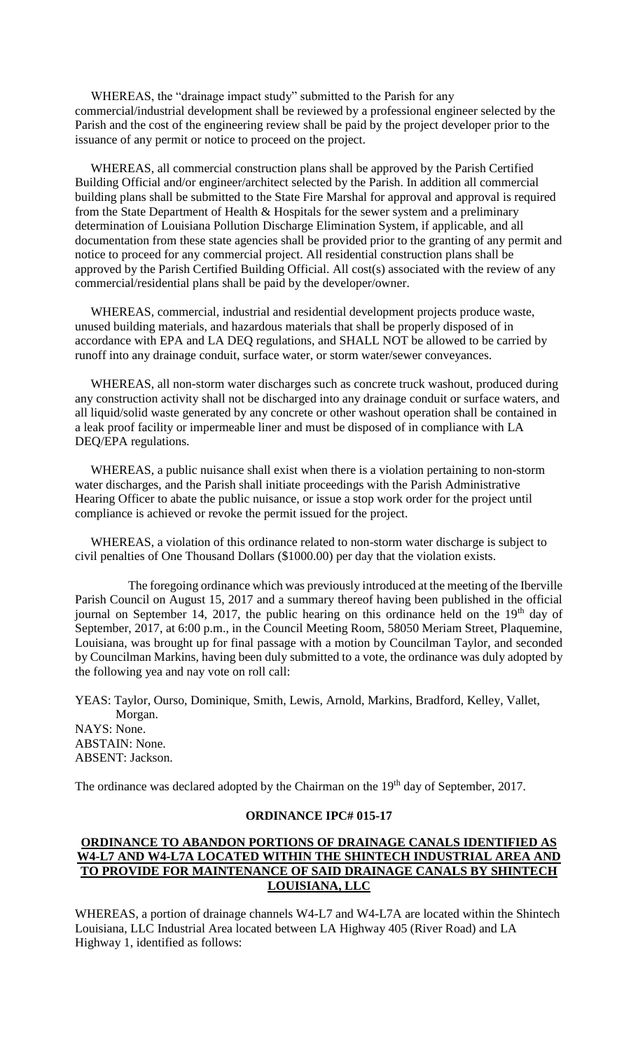WHEREAS, the "drainage impact study" submitted to the Parish for any commercial/industrial development shall be reviewed by a professional engineer selected by the Parish and the cost of the engineering review shall be paid by the project developer prior to the issuance of any permit or notice to proceed on the project.

 WHEREAS, all commercial construction plans shall be approved by the Parish Certified Building Official and/or engineer/architect selected by the Parish. In addition all commercial building plans shall be submitted to the State Fire Marshal for approval and approval is required from the State Department of Health & Hospitals for the sewer system and a preliminary determination of Louisiana Pollution Discharge Elimination System, if applicable, and all documentation from these state agencies shall be provided prior to the granting of any permit and notice to proceed for any commercial project. All residential construction plans shall be approved by the Parish Certified Building Official. All cost(s) associated with the review of any commercial/residential plans shall be paid by the developer/owner.

 WHEREAS, commercial, industrial and residential development projects produce waste, unused building materials, and hazardous materials that shall be properly disposed of in accordance with EPA and LA DEQ regulations, and SHALL NOT be allowed to be carried by runoff into any drainage conduit, surface water, or storm water/sewer conveyances.

 WHEREAS, all non-storm water discharges such as concrete truck washout, produced during any construction activity shall not be discharged into any drainage conduit or surface waters, and all liquid/solid waste generated by any concrete or other washout operation shall be contained in a leak proof facility or impermeable liner and must be disposed of in compliance with LA DEQ/EPA regulations.

 WHEREAS, a public nuisance shall exist when there is a violation pertaining to non-storm water discharges, and the Parish shall initiate proceedings with the Parish Administrative Hearing Officer to abate the public nuisance, or issue a stop work order for the project until compliance is achieved or revoke the permit issued for the project.

 WHEREAS, a violation of this ordinance related to non-storm water discharge is subject to civil penalties of One Thousand Dollars (\$1000.00) per day that the violation exists.

 The foregoing ordinance which was previously introduced at the meeting of the Iberville Parish Council on August 15, 2017 and a summary thereof having been published in the official journal on September 14, 2017, the public hearing on this ordinance held on the  $19<sup>th</sup>$  day of September, 2017, at 6:00 p.m., in the Council Meeting Room, 58050 Meriam Street, Plaquemine, Louisiana, was brought up for final passage with a motion by Councilman Taylor, and seconded by Councilman Markins, having been duly submitted to a vote, the ordinance was duly adopted by the following yea and nay vote on roll call:

YEAS: Taylor, Ourso, Dominique, Smith, Lewis, Arnold, Markins, Bradford, Kelley, Vallet, Morgan. NAYS: None. ABSTAIN: None. ABSENT: Jackson.

The ordinance was declared adopted by the Chairman on the 19<sup>th</sup> day of September, 2017.

### **ORDINANCE IPC# 015-17**

## **ORDINANCE TO ABANDON PORTIONS OF DRAINAGE CANALS IDENTIFIED AS W4-L7 AND W4-L7A LOCATED WITHIN THE SHINTECH INDUSTRIAL AREA AND TO PROVIDE FOR MAINTENANCE OF SAID DRAINAGE CANALS BY SHINTECH LOUISIANA, LLC**

WHEREAS, a portion of drainage channels W4-L7 and W4-L7A are located within the Shintech Louisiana, LLC Industrial Area located between LA Highway 405 (River Road) and LA Highway 1, identified as follows: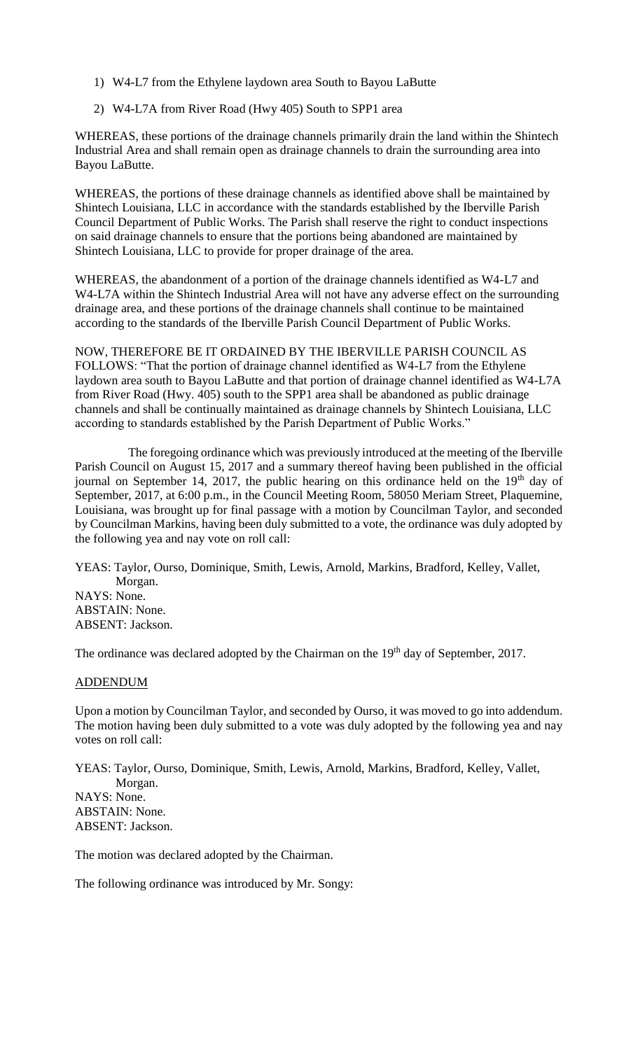- 1) W4-L7 from the Ethylene laydown area South to Bayou LaButte
- 2) W4-L7A from River Road (Hwy 405) South to SPP1 area

WHEREAS, these portions of the drainage channels primarily drain the land within the Shintech Industrial Area and shall remain open as drainage channels to drain the surrounding area into Bayou LaButte.

WHEREAS, the portions of these drainage channels as identified above shall be maintained by Shintech Louisiana, LLC in accordance with the standards established by the Iberville Parish Council Department of Public Works. The Parish shall reserve the right to conduct inspections on said drainage channels to ensure that the portions being abandoned are maintained by Shintech Louisiana, LLC to provide for proper drainage of the area.

WHEREAS, the abandonment of a portion of the drainage channels identified as W4-L7 and W4-L7A within the Shintech Industrial Area will not have any adverse effect on the surrounding drainage area, and these portions of the drainage channels shall continue to be maintained according to the standards of the Iberville Parish Council Department of Public Works.

NOW, THEREFORE BE IT ORDAINED BY THE IBERVILLE PARISH COUNCIL AS FOLLOWS: "That the portion of drainage channel identified as W4-L7 from the Ethylene laydown area south to Bayou LaButte and that portion of drainage channel identified as W4-L7A from River Road (Hwy. 405) south to the SPP1 area shall be abandoned as public drainage channels and shall be continually maintained as drainage channels by Shintech Louisiana, LLC according to standards established by the Parish Department of Public Works."

 The foregoing ordinance which was previously introduced at the meeting of the Iberville Parish Council on August 15, 2017 and a summary thereof having been published in the official journal on September 14, 2017, the public hearing on this ordinance held on the  $19<sup>th</sup>$  day of September, 2017, at 6:00 p.m., in the Council Meeting Room, 58050 Meriam Street, Plaquemine, Louisiana, was brought up for final passage with a motion by Councilman Taylor, and seconded by Councilman Markins, having been duly submitted to a vote, the ordinance was duly adopted by the following yea and nay vote on roll call:

YEAS: Taylor, Ourso, Dominique, Smith, Lewis, Arnold, Markins, Bradford, Kelley, Vallet, Morgan. NAYS: None. ABSTAIN: None. ABSENT: Jackson.

The ordinance was declared adopted by the Chairman on the 19<sup>th</sup> day of September, 2017.

## ADDENDUM

Upon a motion by Councilman Taylor, and seconded by Ourso, it was moved to go into addendum. The motion having been duly submitted to a vote was duly adopted by the following yea and nay votes on roll call:

YEAS: Taylor, Ourso, Dominique, Smith, Lewis, Arnold, Markins, Bradford, Kelley, Vallet, Morgan. NAYS: None. ABSTAIN: None. ABSENT: Jackson.

The motion was declared adopted by the Chairman.

The following ordinance was introduced by Mr. Songy: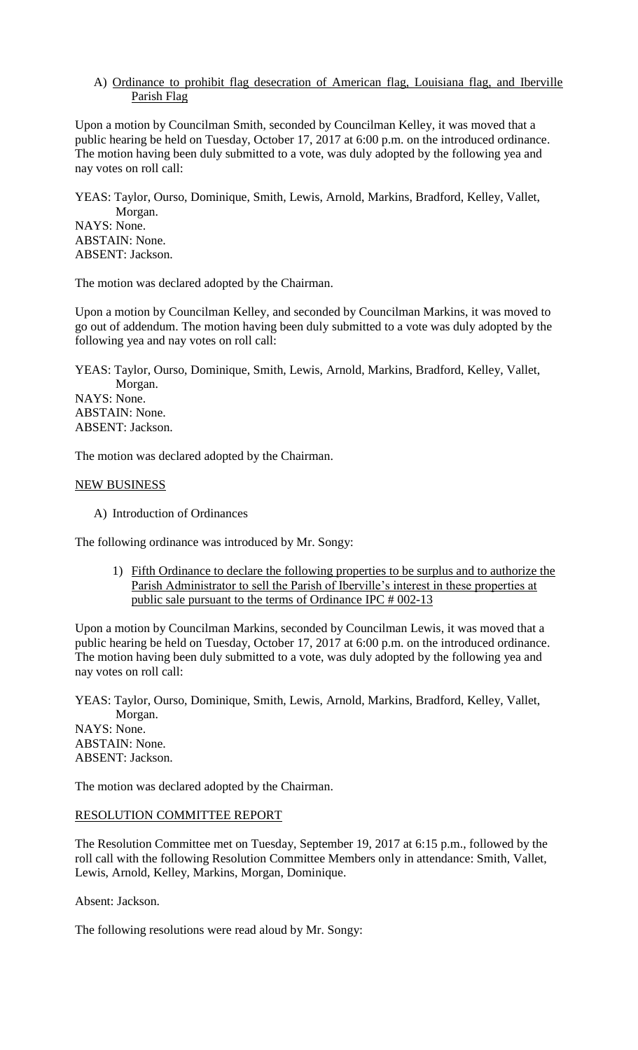## A) Ordinance to prohibit flag desecration of American flag, Louisiana flag, and Iberville Parish Flag

Upon a motion by Councilman Smith, seconded by Councilman Kelley, it was moved that a public hearing be held on Tuesday, October 17, 2017 at 6:00 p.m. on the introduced ordinance. The motion having been duly submitted to a vote, was duly adopted by the following yea and nay votes on roll call:

YEAS: Taylor, Ourso, Dominique, Smith, Lewis, Arnold, Markins, Bradford, Kelley, Vallet, Morgan. NAYS: None. ABSTAIN: None. ABSENT: Jackson.

The motion was declared adopted by the Chairman.

Upon a motion by Councilman Kelley, and seconded by Councilman Markins, it was moved to go out of addendum. The motion having been duly submitted to a vote was duly adopted by the following yea and nay votes on roll call:

YEAS: Taylor, Ourso, Dominique, Smith, Lewis, Arnold, Markins, Bradford, Kelley, Vallet, Morgan. NAYS: None. ABSTAIN: None.

ABSENT: Jackson.

The motion was declared adopted by the Chairman.

## NEW BUSINESS

A) Introduction of Ordinances

The following ordinance was introduced by Mr. Songy:

1) Fifth Ordinance to declare the following properties to be surplus and to authorize the Parish Administrator to sell the Parish of Iberville's interest in these properties at public sale pursuant to the terms of Ordinance IPC # 002-13

Upon a motion by Councilman Markins, seconded by Councilman Lewis, it was moved that a public hearing be held on Tuesday, October 17, 2017 at 6:00 p.m. on the introduced ordinance. The motion having been duly submitted to a vote, was duly adopted by the following yea and nay votes on roll call:

YEAS: Taylor, Ourso, Dominique, Smith, Lewis, Arnold, Markins, Bradford, Kelley, Vallet, Morgan. NAYS: None. ABSTAIN: None. ABSENT: Jackson.

The motion was declared adopted by the Chairman.

# RESOLUTION COMMITTEE REPORT

The Resolution Committee met on Tuesday, September 19, 2017 at 6:15 p.m., followed by the roll call with the following Resolution Committee Members only in attendance: Smith, Vallet, Lewis, Arnold, Kelley, Markins, Morgan, Dominique.

Absent: Jackson.

The following resolutions were read aloud by Mr. Songy: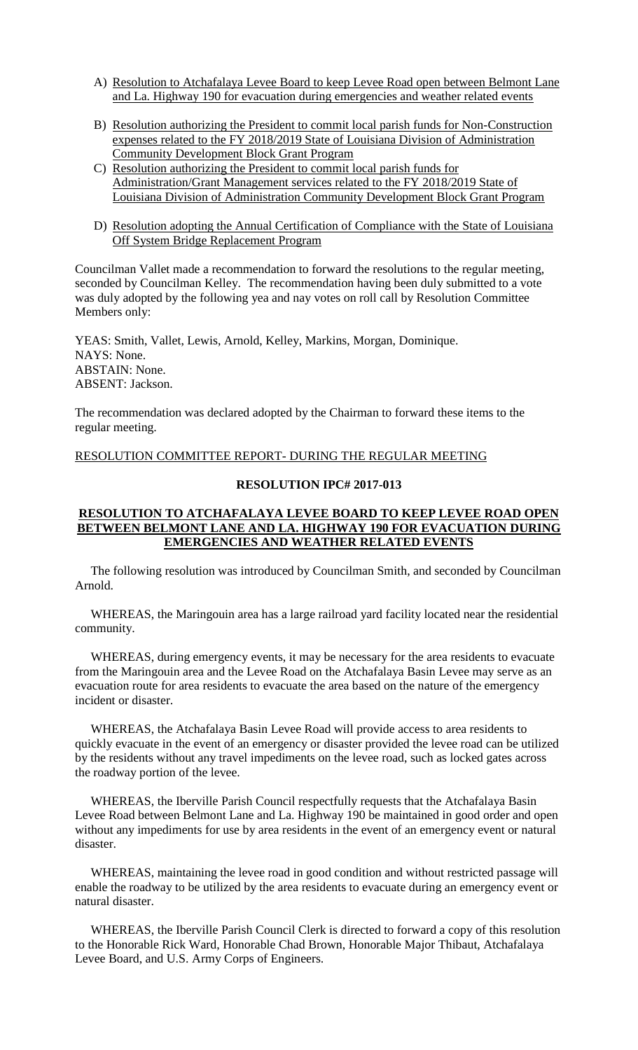- A) Resolution to Atchafalaya Levee Board to keep Levee Road open between Belmont Lane and La. Highway 190 for evacuation during emergencies and weather related events
- B) Resolution authorizing the President to commit local parish funds for Non-Construction expenses related to the FY 2018/2019 State of Louisiana Division of Administration Community Development Block Grant Program
- C) Resolution authorizing the President to commit local parish funds for Administration/Grant Management services related to the FY 2018/2019 State of Louisiana Division of Administration Community Development Block Grant Program
- D) Resolution adopting the Annual Certification of Compliance with the State of Louisiana Off System Bridge Replacement Program

Councilman Vallet made a recommendation to forward the resolutions to the regular meeting, seconded by Councilman Kelley. The recommendation having been duly submitted to a vote was duly adopted by the following yea and nay votes on roll call by Resolution Committee Members only:

YEAS: Smith, Vallet, Lewis, Arnold, Kelley, Markins, Morgan, Dominique. NAYS: None. ABSTAIN: None. ABSENT: Jackson.

The recommendation was declared adopted by the Chairman to forward these items to the regular meeting.

RESOLUTION COMMITTEE REPORT- DURING THE REGULAR MEETING

# **RESOLUTION IPC# 2017-013**

### **RESOLUTION TO ATCHAFALAYA LEVEE BOARD TO KEEP LEVEE ROAD OPEN BETWEEN BELMONT LANE AND LA. HIGHWAY 190 FOR EVACUATION DURING EMERGENCIES AND WEATHER RELATED EVENTS**

 The following resolution was introduced by Councilman Smith, and seconded by Councilman Arnold.

 WHEREAS, the Maringouin area has a large railroad yard facility located near the residential community.

 WHEREAS, during emergency events, it may be necessary for the area residents to evacuate from the Maringouin area and the Levee Road on the Atchafalaya Basin Levee may serve as an evacuation route for area residents to evacuate the area based on the nature of the emergency incident or disaster.

 WHEREAS, the Atchafalaya Basin Levee Road will provide access to area residents to quickly evacuate in the event of an emergency or disaster provided the levee road can be utilized by the residents without any travel impediments on the levee road, such as locked gates across the roadway portion of the levee.

 WHEREAS, the Iberville Parish Council respectfully requests that the Atchafalaya Basin Levee Road between Belmont Lane and La. Highway 190 be maintained in good order and open without any impediments for use by area residents in the event of an emergency event or natural disaster.

 WHEREAS, maintaining the levee road in good condition and without restricted passage will enable the roadway to be utilized by the area residents to evacuate during an emergency event or natural disaster.

 WHEREAS, the Iberville Parish Council Clerk is directed to forward a copy of this resolution to the Honorable Rick Ward, Honorable Chad Brown, Honorable Major Thibaut, Atchafalaya Levee Board, and U.S. Army Corps of Engineers.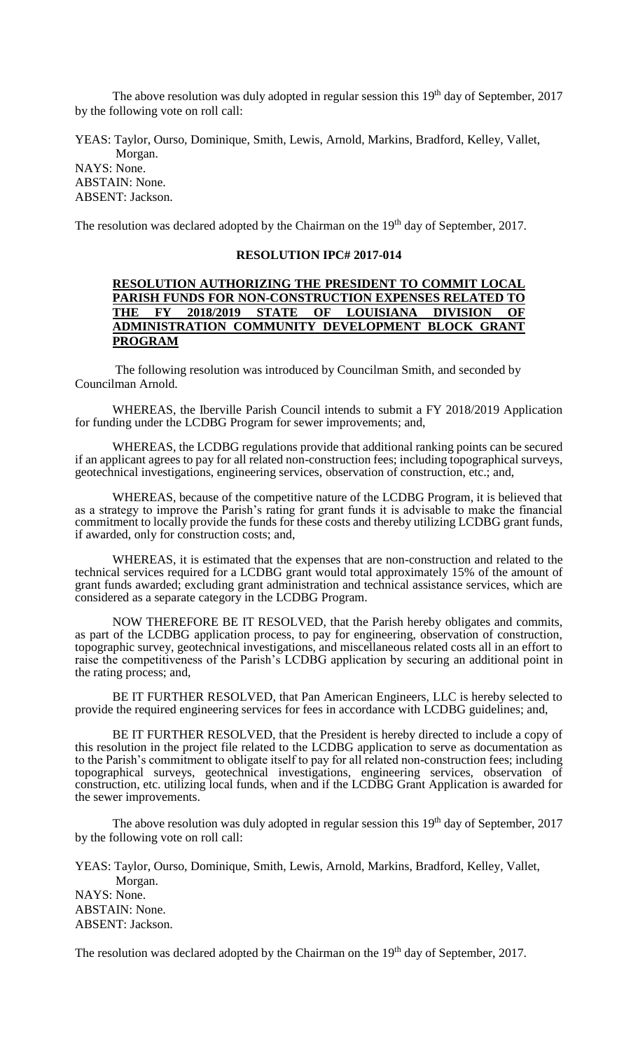The above resolution was duly adopted in regular session this  $19<sup>th</sup>$  day of September, 2017 by the following vote on roll call:

YEAS: Taylor, Ourso, Dominique, Smith, Lewis, Arnold, Markins, Bradford, Kelley, Vallet, Morgan.

NAYS: None. ABSTAIN: None. ABSENT: Jackson.

The resolution was declared adopted by the Chairman on the 19<sup>th</sup> day of September, 2017.

### **RESOLUTION IPC# 2017-014**

### **RESOLUTION AUTHORIZING THE PRESIDENT TO COMMIT LOCAL PARISH FUNDS FOR NON-CONSTRUCTION EXPENSES RELATED TO THE FY 2018/2019 STATE OF LOUISIANA DIVISION OF ADMINISTRATION COMMUNITY DEVELOPMENT BLOCK GRANT PROGRAM**

 The following resolution was introduced by Councilman Smith, and seconded by Councilman Arnold.

WHEREAS, the Iberville Parish Council intends to submit a FY 2018/2019 Application for funding under the LCDBG Program for sewer improvements; and,

WHEREAS, the LCDBG regulations provide that additional ranking points can be secured if an applicant agrees to pay for all related non-construction fees; including topographical surveys, geotechnical investigations, engineering services, observation of construction, etc.; and,

WHEREAS, because of the competitive nature of the LCDBG Program, it is believed that as a strategy to improve the Parish's rating for grant funds it is advisable to make the financial commitment to locally provide the funds for these costs and thereby utilizing LCDBG grant funds, if awarded, only for construction costs; and,

WHEREAS, it is estimated that the expenses that are non-construction and related to the technical services required for a LCDBG grant would total approximately 15% of the amount of grant funds awarded; excluding grant administration and technical assistance services, which are considered as a separate category in the LCDBG Program.

NOW THEREFORE BE IT RESOLVED, that the Parish hereby obligates and commits, as part of the LCDBG application process, to pay for engineering, observation of construction, topographic survey, geotechnical investigations, and miscellaneous related costs all in an effort to raise the competitiveness of the Parish's LCDBG application by securing an additional point in the rating process; and,

BE IT FURTHER RESOLVED, that Pan American Engineers, LLC is hereby selected to provide the required engineering services for fees in accordance with LCDBG guidelines; and,

BE IT FURTHER RESOLVED, that the President is hereby directed to include a copy of this resolution in the project file related to the LCDBG application to serve as documentation as to the Parish's commitment to obligate itself to pay for all related non-construction fees; including topographical surveys, geotechnical investigations, engineering services, observation of construction, etc. utilizing local funds, when and if the LCDBG Grant Application is awarded for the sewer improvements.

The above resolution was duly adopted in regular session this  $19<sup>th</sup>$  day of September, 2017 by the following vote on roll call:

YEAS: Taylor, Ourso, Dominique, Smith, Lewis, Arnold, Markins, Bradford, Kelley, Vallet, Morgan. NAYS: None. ABSTAIN: None. ABSENT: Jackson.

The resolution was declared adopted by the Chairman on the 19<sup>th</sup> day of September, 2017.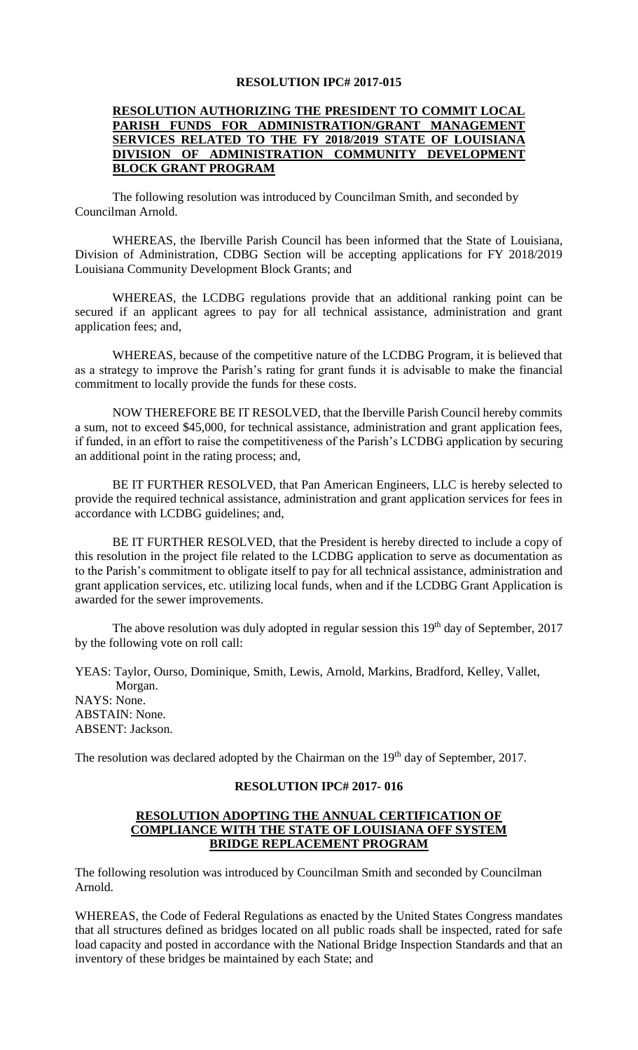### **RESOLUTION IPC# 2017-015**

## **RESOLUTION AUTHORIZING THE PRESIDENT TO COMMIT LOCAL PARISH FUNDS FOR ADMINISTRATION/GRANT MANAGEMENT SERVICES RELATED TO THE FY 2018/2019 STATE OF LOUISIANA DIVISION OF ADMINISTRATION COMMUNITY DEVELOPMENT BLOCK GRANT PROGRAM**

 The following resolution was introduced by Councilman Smith, and seconded by Councilman Arnold.

WHEREAS, the Iberville Parish Council has been informed that the State of Louisiana, Division of Administration, CDBG Section will be accepting applications for FY 2018/2019 Louisiana Community Development Block Grants; and

WHEREAS, the LCDBG regulations provide that an additional ranking point can be secured if an applicant agrees to pay for all technical assistance, administration and grant application fees; and,

WHEREAS, because of the competitive nature of the LCDBG Program, it is believed that as a strategy to improve the Parish's rating for grant funds it is advisable to make the financial commitment to locally provide the funds for these costs.

NOW THEREFORE BE IT RESOLVED, that the Iberville Parish Council hereby commits a sum, not to exceed \$45,000, for technical assistance, administration and grant application fees, if funded, in an effort to raise the competitiveness of the Parish's LCDBG application by securing an additional point in the rating process; and,

BE IT FURTHER RESOLVED, that Pan American Engineers, LLC is hereby selected to provide the required technical assistance, administration and grant application services for fees in accordance with LCDBG guidelines; and,

BE IT FURTHER RESOLVED, that the President is hereby directed to include a copy of this resolution in the project file related to the LCDBG application to serve as documentation as to the Parish's commitment to obligate itself to pay for all technical assistance, administration and grant application services, etc. utilizing local funds, when and if the LCDBG Grant Application is awarded for the sewer improvements.

The above resolution was duly adopted in regular session this  $19<sup>th</sup>$  day of September, 2017 by the following vote on roll call:

YEAS: Taylor, Ourso, Dominique, Smith, Lewis, Arnold, Markins, Bradford, Kelley, Vallet, Morgan. NAYS: None. ABSTAIN: None. ABSENT: Jackson.

The resolution was declared adopted by the Chairman on the 19<sup>th</sup> day of September, 2017.

### **RESOLUTION IPC# 2017- 016**

### **RESOLUTION ADOPTING THE ANNUAL CERTIFICATION OF COMPLIANCE WITH THE STATE OF LOUISIANA OFF SYSTEM BRIDGE REPLACEMENT PROGRAM**

The following resolution was introduced by Councilman Smith and seconded by Councilman Arnold.

WHEREAS, the Code of Federal Regulations as enacted by the United States Congress mandates that all structures defined as bridges located on all public roads shall be inspected, rated for safe load capacity and posted in accordance with the National Bridge Inspection Standards and that an inventory of these bridges be maintained by each State; and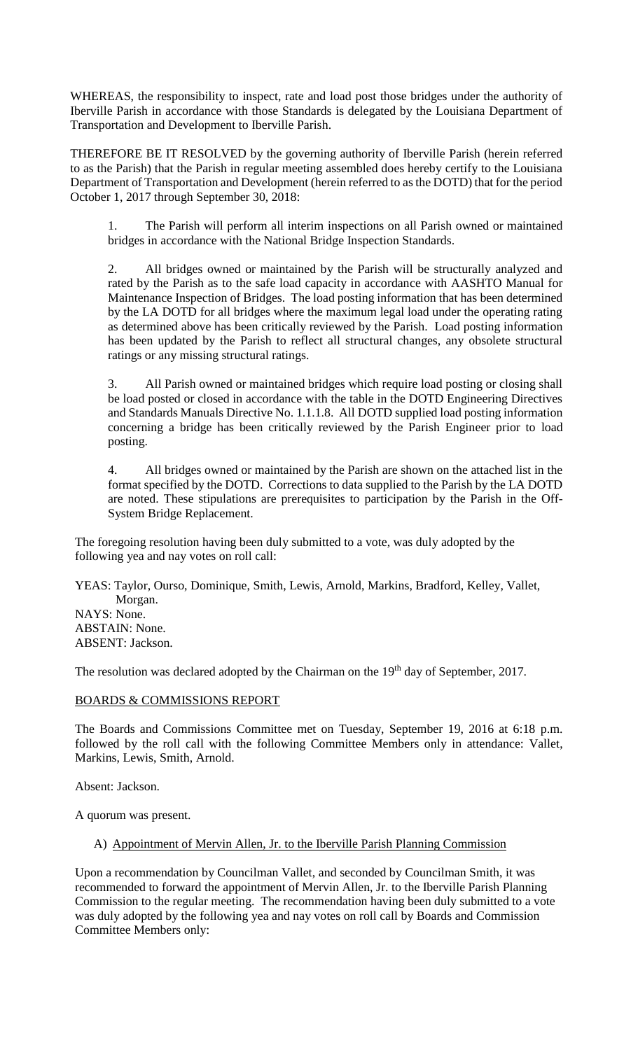WHEREAS, the responsibility to inspect, rate and load post those bridges under the authority of Iberville Parish in accordance with those Standards is delegated by the Louisiana Department of Transportation and Development to Iberville Parish.

THEREFORE BE IT RESOLVED by the governing authority of Iberville Parish (herein referred to as the Parish) that the Parish in regular meeting assembled does hereby certify to the Louisiana Department of Transportation and Development (herein referred to as the DOTD) that for the period October 1, 2017 through September 30, 2018:

1. The Parish will perform all interim inspections on all Parish owned or maintained bridges in accordance with the National Bridge Inspection Standards.

2. All bridges owned or maintained by the Parish will be structurally analyzed and rated by the Parish as to the safe load capacity in accordance with AASHTO Manual for Maintenance Inspection of Bridges. The load posting information that has been determined by the LA DOTD for all bridges where the maximum legal load under the operating rating as determined above has been critically reviewed by the Parish. Load posting information has been updated by the Parish to reflect all structural changes, any obsolete structural ratings or any missing structural ratings.

3. All Parish owned or maintained bridges which require load posting or closing shall be load posted or closed in accordance with the table in the DOTD Engineering Directives and Standards Manuals Directive No. 1.1.1.8. All DOTD supplied load posting information concerning a bridge has been critically reviewed by the Parish Engineer prior to load posting.

4. All bridges owned or maintained by the Parish are shown on the attached list in the format specified by the DOTD. Corrections to data supplied to the Parish by the LA DOTD are noted. These stipulations are prerequisites to participation by the Parish in the Off-System Bridge Replacement.

The foregoing resolution having been duly submitted to a vote, was duly adopted by the following yea and nay votes on roll call:

YEAS: Taylor, Ourso, Dominique, Smith, Lewis, Arnold, Markins, Bradford, Kelley, Vallet, Morgan. NAYS: None. ABSTAIN: None. ABSENT: Jackson.

The resolution was declared adopted by the Chairman on the 19<sup>th</sup> day of September, 2017.

## BOARDS & COMMISSIONS REPORT

The Boards and Commissions Committee met on Tuesday, September 19, 2016 at 6:18 p.m. followed by the roll call with the following Committee Members only in attendance: Vallet, Markins, Lewis, Smith, Arnold.

Absent: Jackson.

A quorum was present.

# A) Appointment of Mervin Allen, Jr. to the Iberville Parish Planning Commission

Upon a recommendation by Councilman Vallet, and seconded by Councilman Smith, it was recommended to forward the appointment of Mervin Allen, Jr. to the Iberville Parish Planning Commission to the regular meeting. The recommendation having been duly submitted to a vote was duly adopted by the following yea and nay votes on roll call by Boards and Commission Committee Members only: